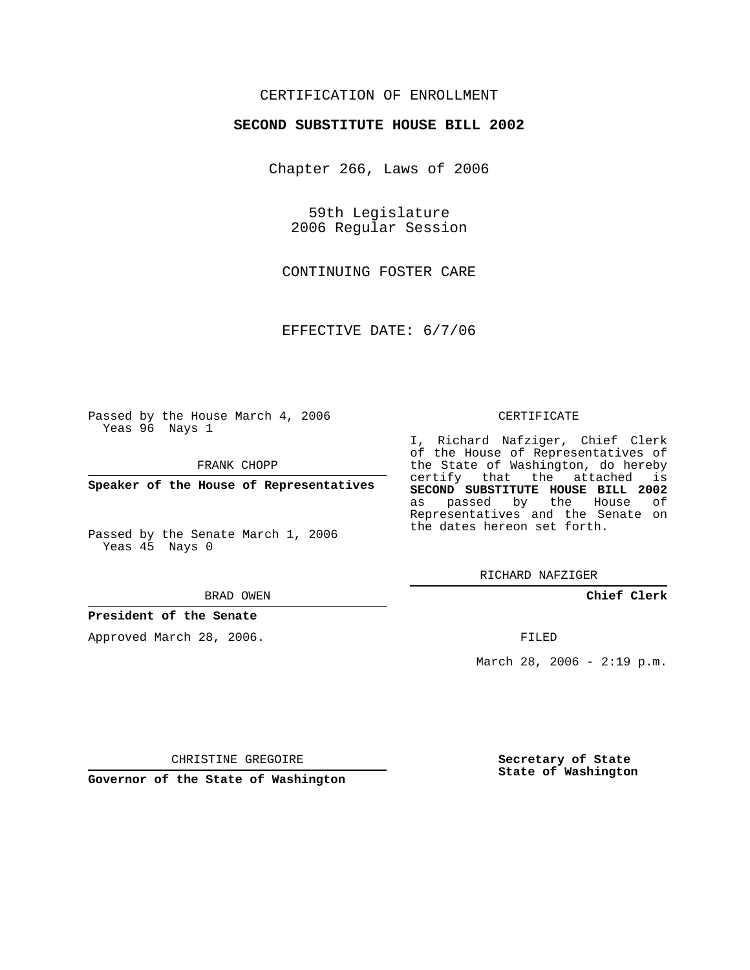## CERTIFICATION OF ENROLLMENT

### **SECOND SUBSTITUTE HOUSE BILL 2002**

Chapter 266, Laws of 2006

59th Legislature 2006 Regular Session

CONTINUING FOSTER CARE

EFFECTIVE DATE: 6/7/06

Passed by the House March 4, 2006 Yeas 96 Nays 1

FRANK CHOPP

**Speaker of the House of Representatives**

Passed by the Senate March 1, 2006 Yeas 45 Nays 0

#### BRAD OWEN

## **President of the Senate**

Approved March 28, 2006.

#### CERTIFICATE

I, Richard Nafziger, Chief Clerk of the House of Representatives of the State of Washington, do hereby certify that the attached is **SECOND SUBSTITUTE HOUSE BILL 2002** as passed by the House of Representatives and the Senate on the dates hereon set forth.

RICHARD NAFZIGER

**Chief Clerk**

FILED

March 28, 2006 -  $2:19$  p.m.

CHRISTINE GREGOIRE

**Governor of the State of Washington**

**Secretary of State State of Washington**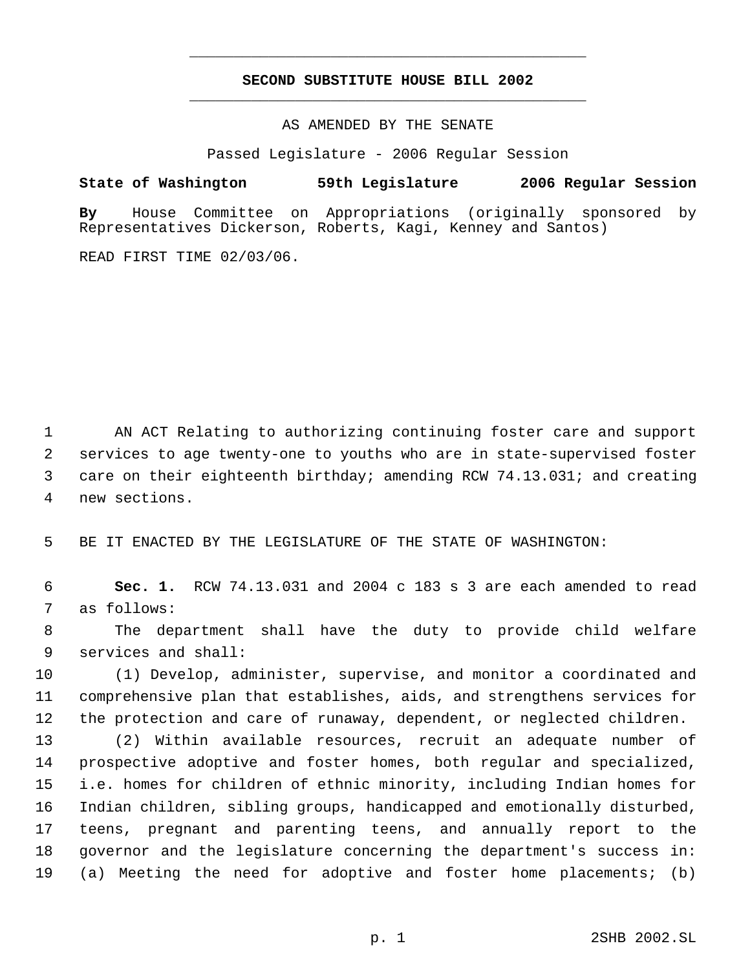# **SECOND SUBSTITUTE HOUSE BILL 2002** \_\_\_\_\_\_\_\_\_\_\_\_\_\_\_\_\_\_\_\_\_\_\_\_\_\_\_\_\_\_\_\_\_\_\_\_\_\_\_\_\_\_\_\_\_

\_\_\_\_\_\_\_\_\_\_\_\_\_\_\_\_\_\_\_\_\_\_\_\_\_\_\_\_\_\_\_\_\_\_\_\_\_\_\_\_\_\_\_\_\_

AS AMENDED BY THE SENATE

Passed Legislature - 2006 Regular Session

**State of Washington 59th Legislature 2006 Regular Session**

**By** House Committee on Appropriations (originally sponsored by Representatives Dickerson, Roberts, Kagi, Kenney and Santos)

READ FIRST TIME 02/03/06.

 AN ACT Relating to authorizing continuing foster care and support services to age twenty-one to youths who are in state-supervised foster care on their eighteenth birthday; amending RCW 74.13.031; and creating new sections.

BE IT ENACTED BY THE LEGISLATURE OF THE STATE OF WASHINGTON:

 **Sec. 1.** RCW 74.13.031 and 2004 c 183 s 3 are each amended to read as follows:

 The department shall have the duty to provide child welfare services and shall:

 (1) Develop, administer, supervise, and monitor a coordinated and comprehensive plan that establishes, aids, and strengthens services for the protection and care of runaway, dependent, or neglected children.

 (2) Within available resources, recruit an adequate number of prospective adoptive and foster homes, both regular and specialized, i.e. homes for children of ethnic minority, including Indian homes for Indian children, sibling groups, handicapped and emotionally disturbed, teens, pregnant and parenting teens, and annually report to the governor and the legislature concerning the department's success in: (a) Meeting the need for adoptive and foster home placements; (b)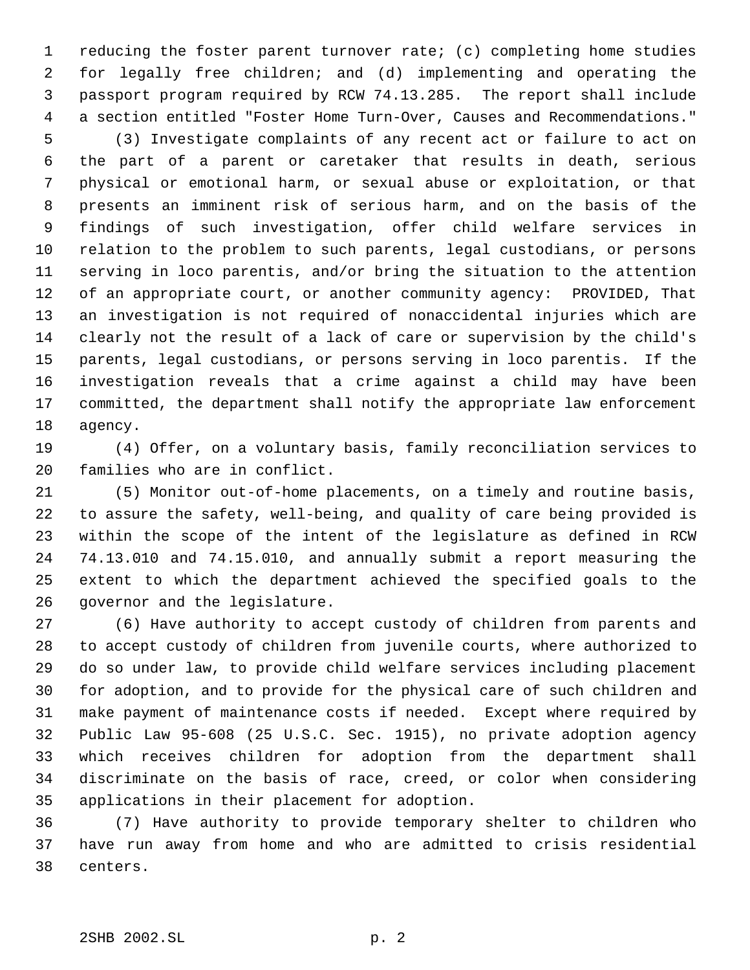reducing the foster parent turnover rate; (c) completing home studies for legally free children; and (d) implementing and operating the passport program required by RCW 74.13.285. The report shall include a section entitled "Foster Home Turn-Over, Causes and Recommendations."

 (3) Investigate complaints of any recent act or failure to act on the part of a parent or caretaker that results in death, serious physical or emotional harm, or sexual abuse or exploitation, or that presents an imminent risk of serious harm, and on the basis of the findings of such investigation, offer child welfare services in relation to the problem to such parents, legal custodians, or persons serving in loco parentis, and/or bring the situation to the attention of an appropriate court, or another community agency: PROVIDED, That an investigation is not required of nonaccidental injuries which are clearly not the result of a lack of care or supervision by the child's parents, legal custodians, or persons serving in loco parentis. If the investigation reveals that a crime against a child may have been committed, the department shall notify the appropriate law enforcement agency.

 (4) Offer, on a voluntary basis, family reconciliation services to families who are in conflict.

 (5) Monitor out-of-home placements, on a timely and routine basis, to assure the safety, well-being, and quality of care being provided is within the scope of the intent of the legislature as defined in RCW 74.13.010 and 74.15.010, and annually submit a report measuring the extent to which the department achieved the specified goals to the governor and the legislature.

 (6) Have authority to accept custody of children from parents and to accept custody of children from juvenile courts, where authorized to do so under law, to provide child welfare services including placement for adoption, and to provide for the physical care of such children and make payment of maintenance costs if needed. Except where required by Public Law 95-608 (25 U.S.C. Sec. 1915), no private adoption agency which receives children for adoption from the department shall discriminate on the basis of race, creed, or color when considering applications in their placement for adoption.

 (7) Have authority to provide temporary shelter to children who have run away from home and who are admitted to crisis residential centers.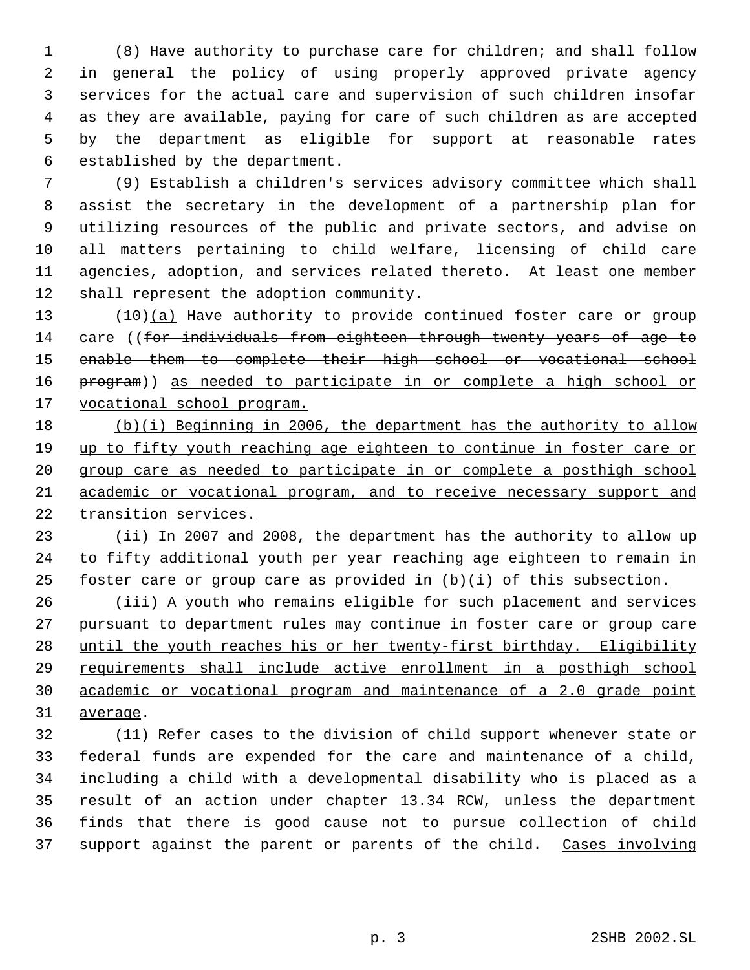(8) Have authority to purchase care for children; and shall follow in general the policy of using properly approved private agency services for the actual care and supervision of such children insofar as they are available, paying for care of such children as are accepted by the department as eligible for support at reasonable rates established by the department.

 (9) Establish a children's services advisory committee which shall assist the secretary in the development of a partnership plan for utilizing resources of the public and private sectors, and advise on all matters pertaining to child welfare, licensing of child care agencies, adoption, and services related thereto. At least one member shall represent the adoption community.

13 (10)(a) Have authority to provide continued foster care or group 14 care ((for individuals from eighteen through twenty years of age to enable them to complete their high school or vocational school program)) as needed to participate in or complete a high school or vocational school program.

 (b)(i) Beginning in 2006, the department has the authority to allow 19 up to fifty youth reaching age eighteen to continue in foster care or group care as needed to participate in or complete a posthigh school academic or vocational program, and to receive necessary support and transition services.

 (ii) In 2007 and 2008, the department has the authority to allow up 24 to fifty additional youth per year reaching age eighteen to remain in foster care or group care as provided in (b)(i) of this subsection.

 (iii) A youth who remains eligible for such placement and services pursuant to department rules may continue in foster care or group care until the youth reaches his or her twenty-first birthday. Eligibility requirements shall include active enrollment in a posthigh school academic or vocational program and maintenance of a 2.0 grade point average.

 (11) Refer cases to the division of child support whenever state or federal funds are expended for the care and maintenance of a child, including a child with a developmental disability who is placed as a result of an action under chapter 13.34 RCW, unless the department finds that there is good cause not to pursue collection of child 37 support against the parent or parents of the child. Cases involving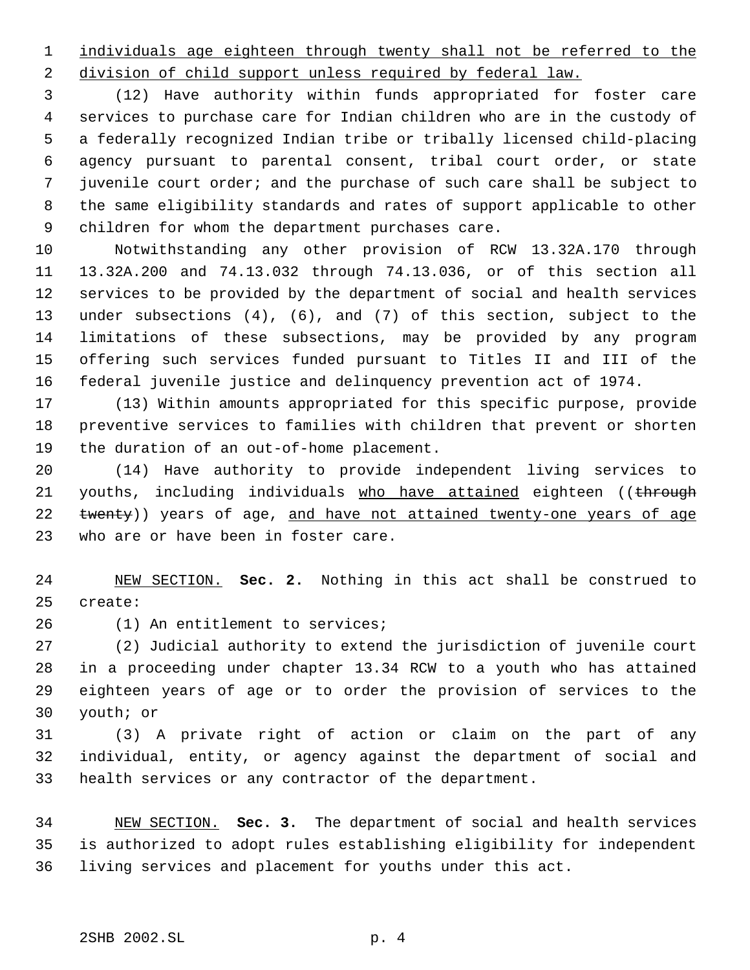individuals age eighteen through twenty shall not be referred to the

2 division of child support unless required by federal law.

 (12) Have authority within funds appropriated for foster care services to purchase care for Indian children who are in the custody of a federally recognized Indian tribe or tribally licensed child-placing agency pursuant to parental consent, tribal court order, or state juvenile court order; and the purchase of such care shall be subject to the same eligibility standards and rates of support applicable to other children for whom the department purchases care.

 Notwithstanding any other provision of RCW 13.32A.170 through 13.32A.200 and 74.13.032 through 74.13.036, or of this section all services to be provided by the department of social and health services under subsections (4), (6), and (7) of this section, subject to the limitations of these subsections, may be provided by any program offering such services funded pursuant to Titles II and III of the federal juvenile justice and delinquency prevention act of 1974.

 (13) Within amounts appropriated for this specific purpose, provide preventive services to families with children that prevent or shorten the duration of an out-of-home placement.

 (14) Have authority to provide independent living services to 21 youths, including individuals who have attained eighteen ((through 22 twenty)) years of age, and have not attained twenty-one years of age who are or have been in foster care.

 NEW SECTION. **Sec. 2.** Nothing in this act shall be construed to create:

(1) An entitlement to services;

 (2) Judicial authority to extend the jurisdiction of juvenile court in a proceeding under chapter 13.34 RCW to a youth who has attained eighteen years of age or to order the provision of services to the youth; or

 (3) A private right of action or claim on the part of any individual, entity, or agency against the department of social and health services or any contractor of the department.

 NEW SECTION. **Sec. 3.** The department of social and health services is authorized to adopt rules establishing eligibility for independent living services and placement for youths under this act.